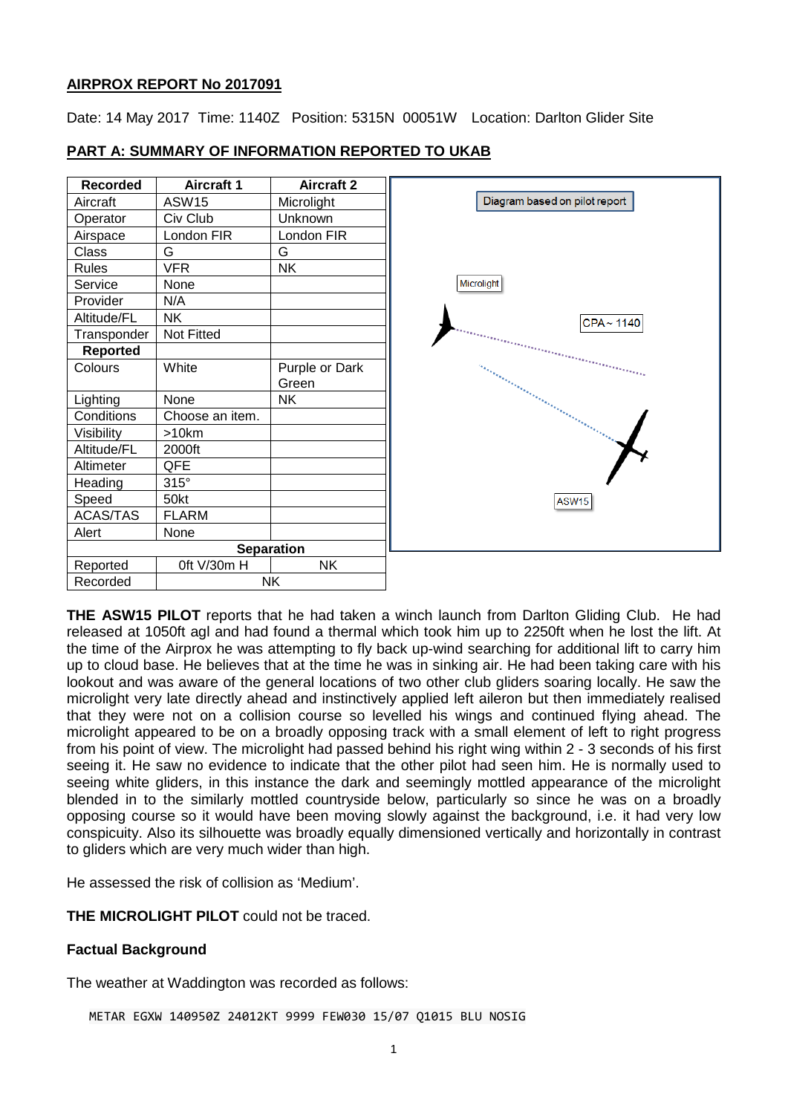### **AIRPROX REPORT No 2017091**

Date: 14 May 2017 Time: 1140Z Position: 5315N 00051W Location: Darlton Glider Site

| <b>Recorded</b>   | <b>Aircraft 1</b> | <b>Aircraft 2</b> |
|-------------------|-------------------|-------------------|
| Aircraft          | <b>ASW15</b>      | Microlight        |
| Operator          | Civ Club          | Unknown           |
| Airspace          | London FIR        | London FIR        |
| Class             | G                 | G                 |
| <b>Rules</b>      | <b>VFR</b>        | <b>NK</b>         |
| Service           | None              |                   |
| Provider          | N/A               |                   |
| Altitude/FL       | <b>NK</b>         |                   |
| Transponder       | Not Fitted        |                   |
| Reported          |                   |                   |
| Colours           | White             | Purple or Dark    |
|                   |                   | Green             |
| Lighting          | None              | <b>NK</b>         |
| Conditions        | Choose an item.   |                   |
| Visibility        | >10km             |                   |
| Altitude/FL       | 2000ft            |                   |
| Altimeter         | QFE               |                   |
| Heading           | $315^\circ$       |                   |
| Speed             | 50kt              |                   |
| <b>ACAS/TAS</b>   | <b>FLARM</b>      |                   |
| Alert             | None              |                   |
| <b>Separation</b> |                   |                   |
| Reported          | 0ft V/30m H       | <b>NK</b>         |
| Recorded          | <b>NK</b>         |                   |

# **PART A: SUMMARY OF INFORMATION REPORTED TO UKAB**

**THE ASW15 PILOT** reports that he had taken a winch launch from Darlton Gliding Club. He had released at 1050ft agl and had found a thermal which took him up to 2250ft when he lost the lift. At the time of the Airprox he was attempting to fly back up-wind searching for additional lift to carry him up to cloud base. He believes that at the time he was in sinking air. He had been taking care with his lookout and was aware of the general locations of two other club gliders soaring locally. He saw the microlight very late directly ahead and instinctively applied left aileron but then immediately realised that they were not on a collision course so levelled his wings and continued flying ahead. The microlight appeared to be on a broadly opposing track with a small element of left to right progress from his point of view. The microlight had passed behind his right wing within 2 - 3 seconds of his first seeing it. He saw no evidence to indicate that the other pilot had seen him. He is normally used to seeing white gliders, in this instance the dark and seemingly mottled appearance of the microlight blended in to the similarly mottled countryside below, particularly so since he was on a broadly opposing course so it would have been moving slowly against the background, i.e. it had very low conspicuity. Also its silhouette was broadly equally dimensioned vertically and horizontally in contrast to gliders which are very much wider than high.

He assessed the risk of collision as 'Medium'.

**THE MICROLIGHT PILOT** could not be traced.

# **Factual Background**

The weather at Waddington was recorded as follows:

METAR EGXW 140950Z 24012KT 9999 FEW030 15/07 Q1015 BLU NOSIG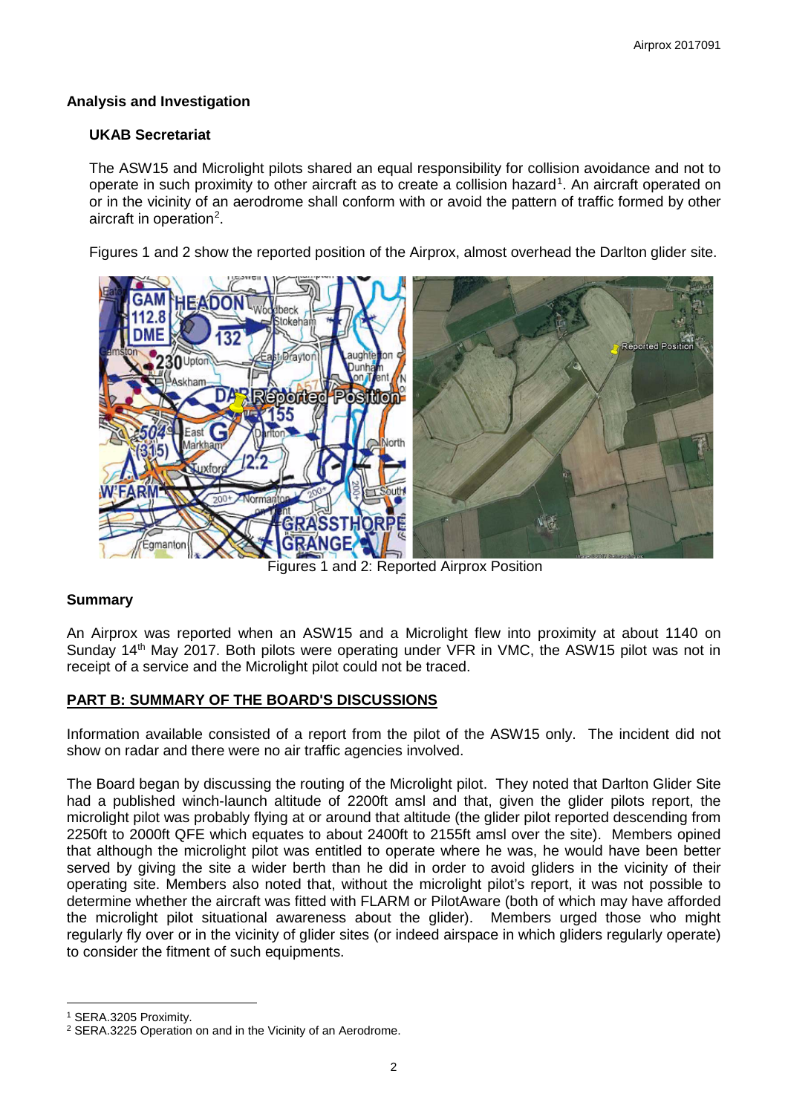# **Analysis and Investigation**

### **UKAB Secretariat**

The ASW15 and Microlight pilots shared an equal responsibility for collision avoidance and not to operate in such proximity to other aircraft as to create a collision hazard<sup>[1](#page-1-0)</sup>. An aircraft operated on or in the vicinity of an aerodrome shall conform with or avoid the pattern of traffic formed by other aircraft in operation<sup>[2](#page-1-1)</sup>.

Figures 1 and 2 show the reported position of the Airprox, almost overhead the Darlton glider site.



Figures 1 and 2: Reported Airprox Position

# **Summary**

An Airprox was reported when an ASW15 and a Microlight flew into proximity at about 1140 on Sunday  $14<sup>th</sup>$  May 2017. Both pilots were operating under VFR in VMC, the ASW15 pilot was not in receipt of a service and the Microlight pilot could not be traced.

# **PART B: SUMMARY OF THE BOARD'S DISCUSSIONS**

Information available consisted of a report from the pilot of the ASW15 only. The incident did not show on radar and there were no air traffic agencies involved.

The Board began by discussing the routing of the Microlight pilot. They noted that Darlton Glider Site had a published winch-launch altitude of 2200ft amsl and that, given the glider pilots report, the microlight pilot was probably flying at or around that altitude (the glider pilot reported descending from 2250ft to 2000ft QFE which equates to about 2400ft to 2155ft amsl over the site). Members opined that although the microlight pilot was entitled to operate where he was, he would have been better served by giving the site a wider berth than he did in order to avoid gliders in the vicinity of their operating site. Members also noted that, without the microlight pilot's report, it was not possible to determine whether the aircraft was fitted with FLARM or PilotAware (both of which may have afforded the microlight pilot situational awareness about the glider). Members urged those who might regularly fly over or in the vicinity of glider sites (or indeed airspace in which gliders regularly operate) to consider the fitment of such equipments.

l

<span id="page-1-0"></span><sup>1</sup> SERA.3205 Proximity.

<span id="page-1-1"></span><sup>2</sup> SERA.3225 Operation on and in the Vicinity of an Aerodrome.